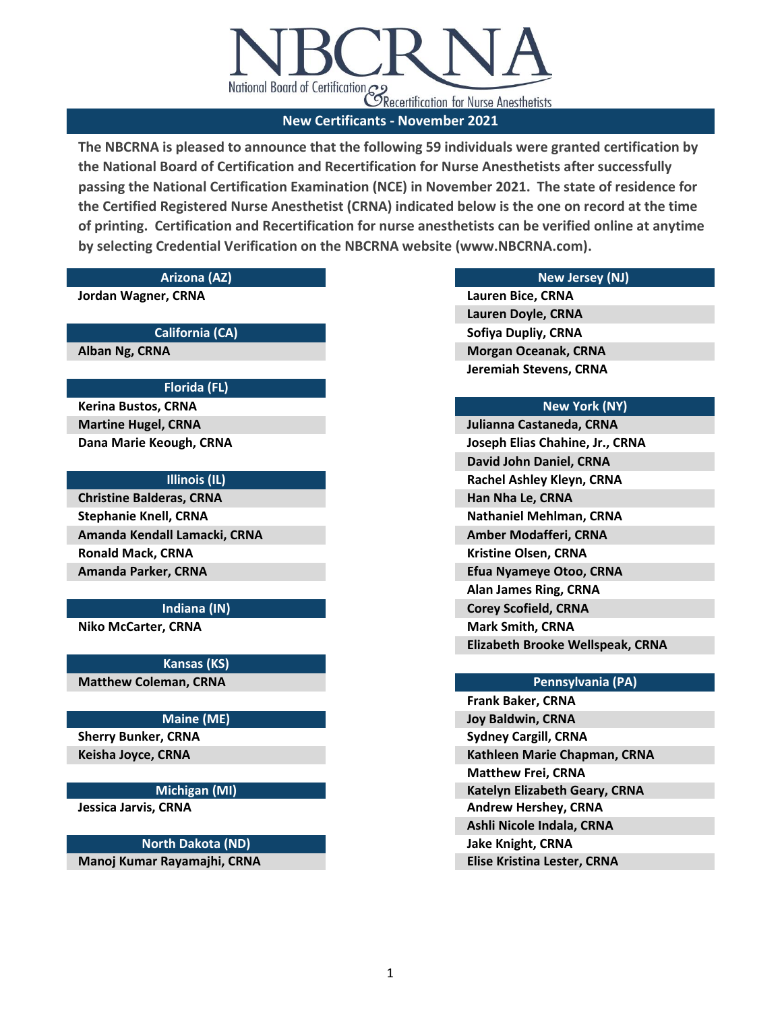

**Jordan Wagner, CRNA**

# **California (CA)**

**Alban Ng, CRNA**

## **Florida (FL)**

**Kerina Bustos, CRNA Martine Hugel, CRNA Dana Marie Keough, CRNA**

## **Illinois (IL)**

**Ronald Mack, CRNA Amanda Parker, CRNA Christine Balderas, CRNA Stephanie Knell, CRNA Amanda Kendall Lamacki, CRNA**

### **Indiana (IN)**

**Niko McCarter, CRNA**

**Kansas (KS) Matthew Coleman, CRNA**

## **Maine (ME)**

**Sherry Bunker, CRNA Keisha Joyce, CRNA**

## **Michigan (MI)**

**Jessica Jarvis, CRNA**

# **North Dakota (ND)**

**Manoj Kumar Rayamajhi, CRNA**

## **Arizona (AZ) New Jersey (NJ)**

**Lauren Bice, CRNA Lauren Doyle, CRNA Sofiya Dupliy, CRNA Morgan Oceanak, CRNA Jeremiah Stevens, CRNA**

## **New York (NY)**

**Julianna Castaneda, CRNA Joseph Elias Chahine, Jr., CRNA David John Daniel, CRNA Rachel Ashley Kleyn, CRNA Han Nha Le, CRNA Nathaniel Mehlman, CRNA Amber Modafferi, CRNA Kristine Olsen, CRNA Efua Nyameye Otoo, CRNA Alan James Ring, CRNA Corey Scofield, CRNA Mark Smith, CRNA Elizabeth Brooke Wellspeak, CRNA**

### **Pennsylvania (PA)**

**Frank Baker, CRNA Joy Baldwin, CRNA Sydney Cargill, CRNA Kathleen Marie Chapman, CRNA Matthew Frei, CRNA Katelyn Elizabeth Geary, CRNA Andrew Hershey, CRNA Ashli Nicole Indala, CRNA Jake Knight, CRNA Elise Kristina Lester, CRNA**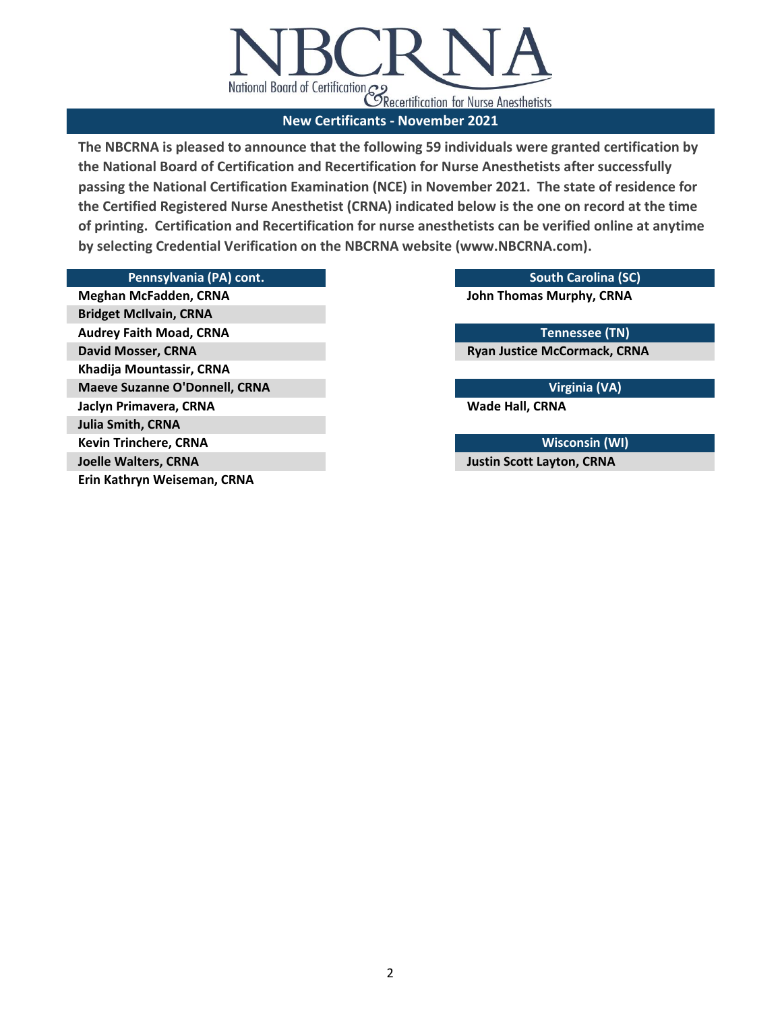

## **Pennsylvania (PA) cont. South Carolina (SC)**

**Meghan McFadden, CRNA Bridget McIlvain, CRNA Audrey Faith Moad, CRNA David Mosser, CRNA Khadija Mountassir, CRNA Maeve Suzanne O'Donnell, CRNA Jaclyn Primavera, CRNA Julia Smith, CRNA Kevin Trinchere, CRNA Joelle Walters, CRNA Erin Kathryn Weiseman, CRNA**

**John Thomas Murphy, CRNA**

**Tennessee (TN)**

**Ryan Justice McCormack, CRNA**

**Virginia (VA)**

**Wade Hall, CRNA**

**Wisconsin (WI) Justin Scott Layton, CRNA**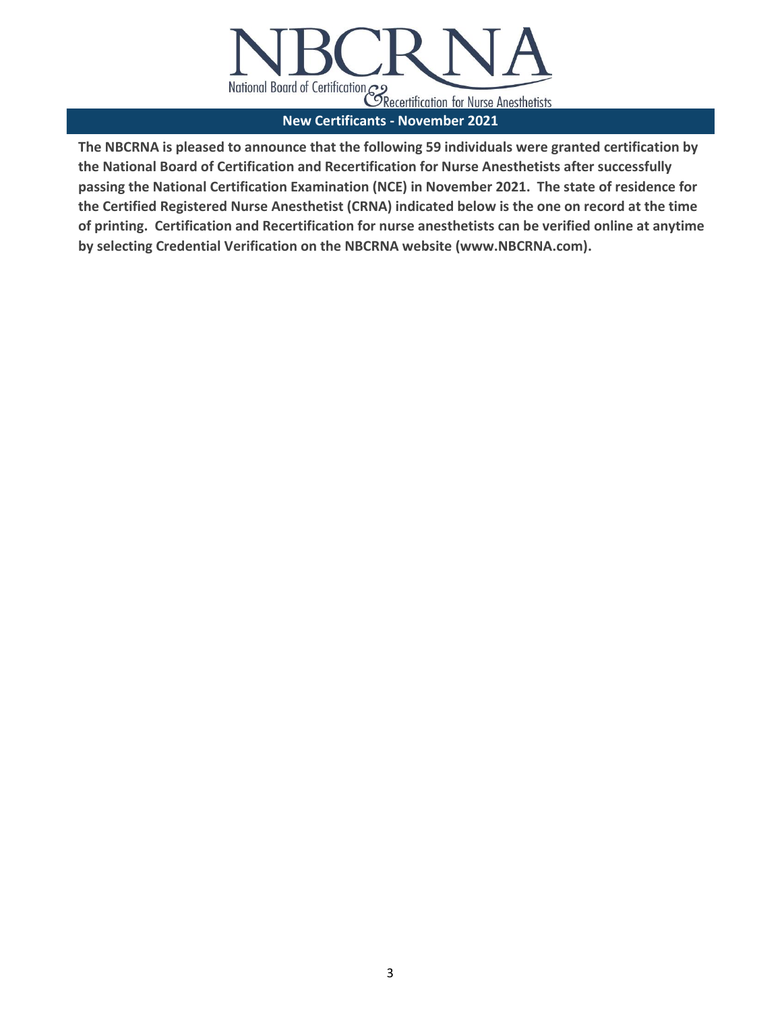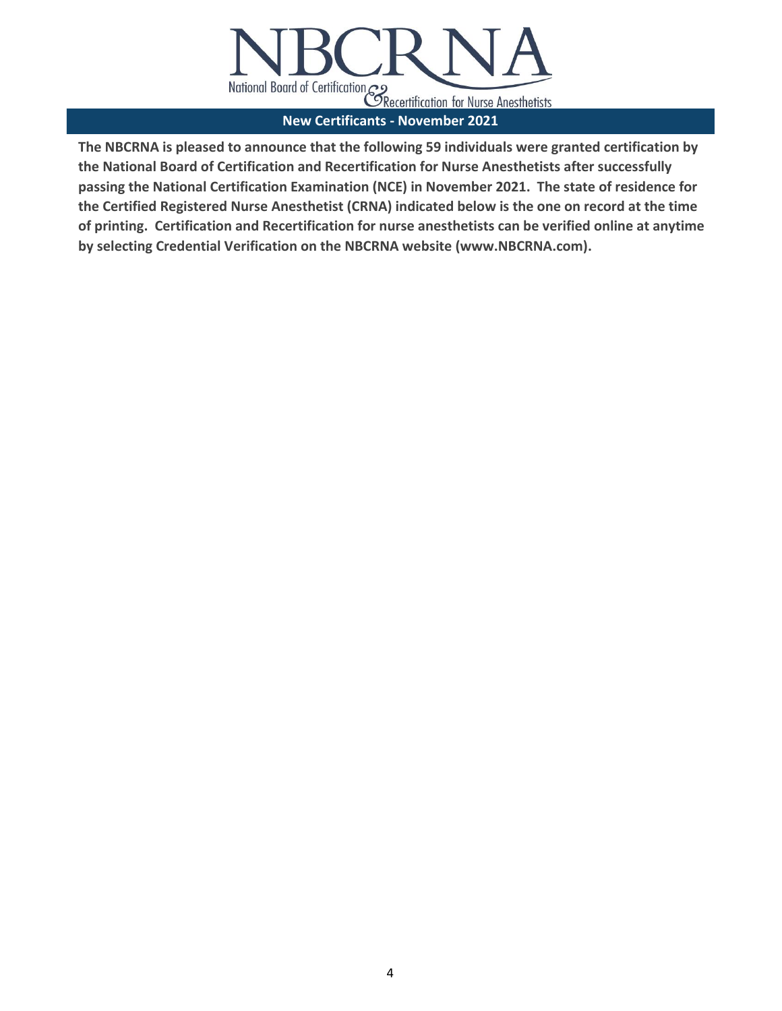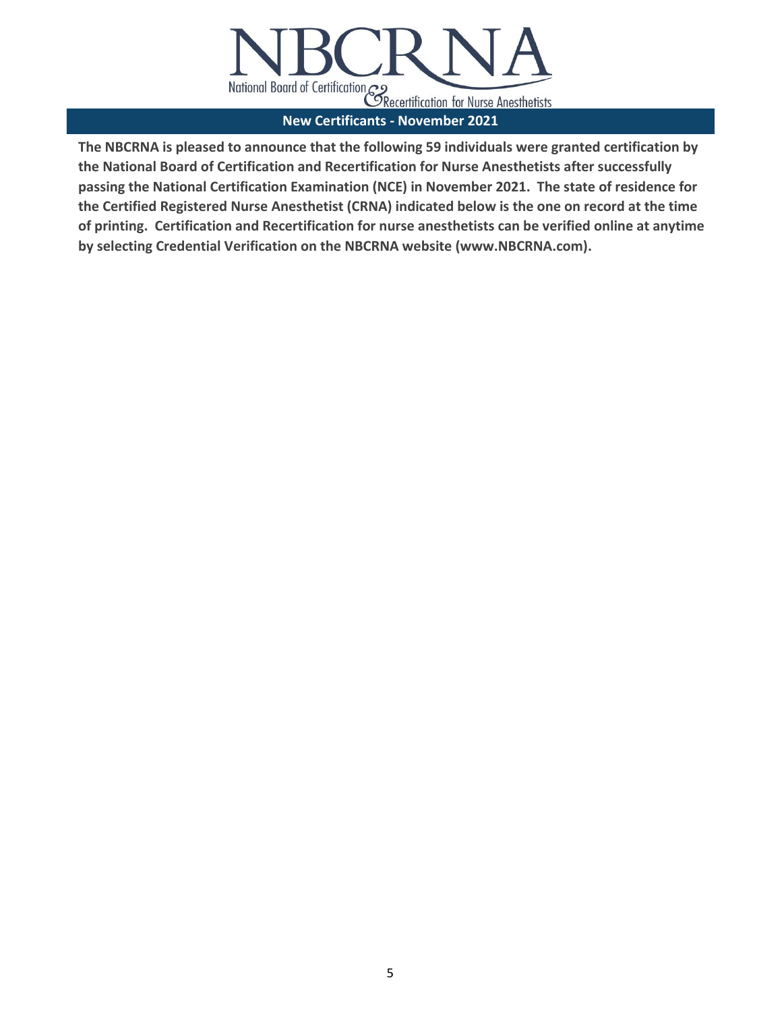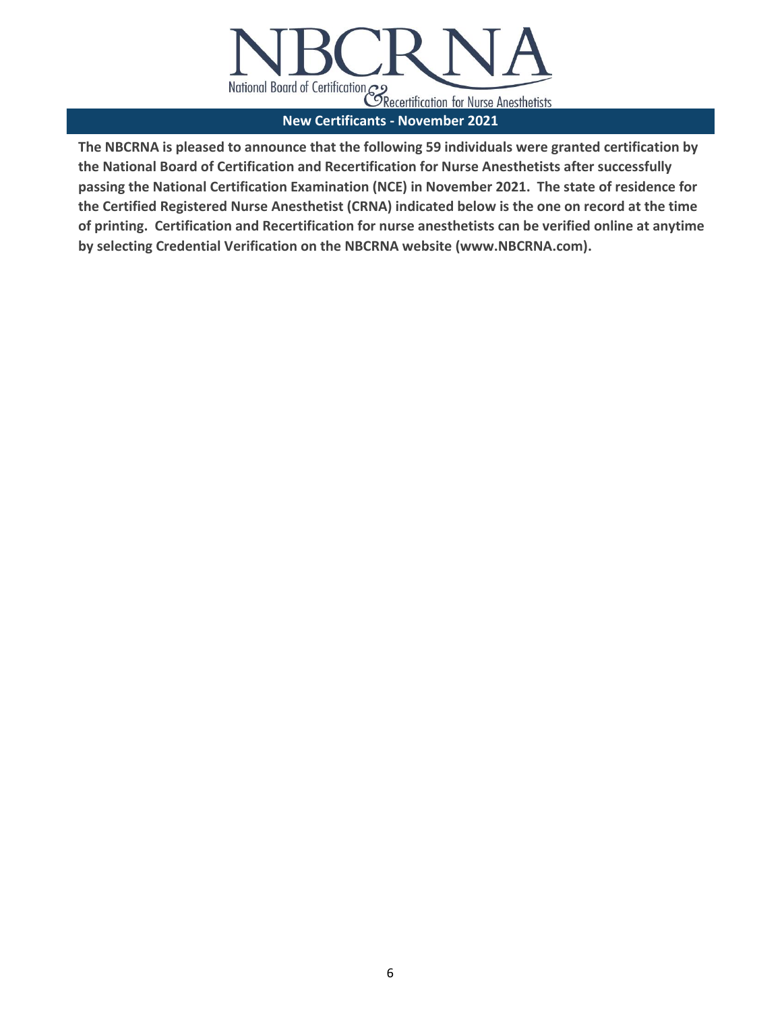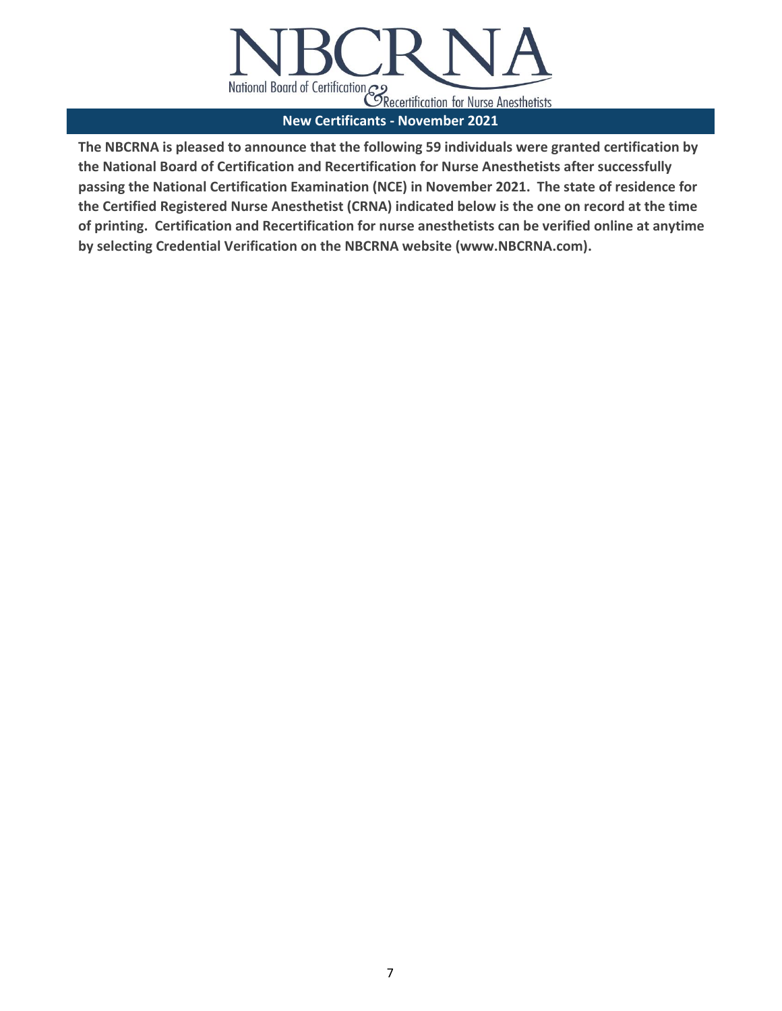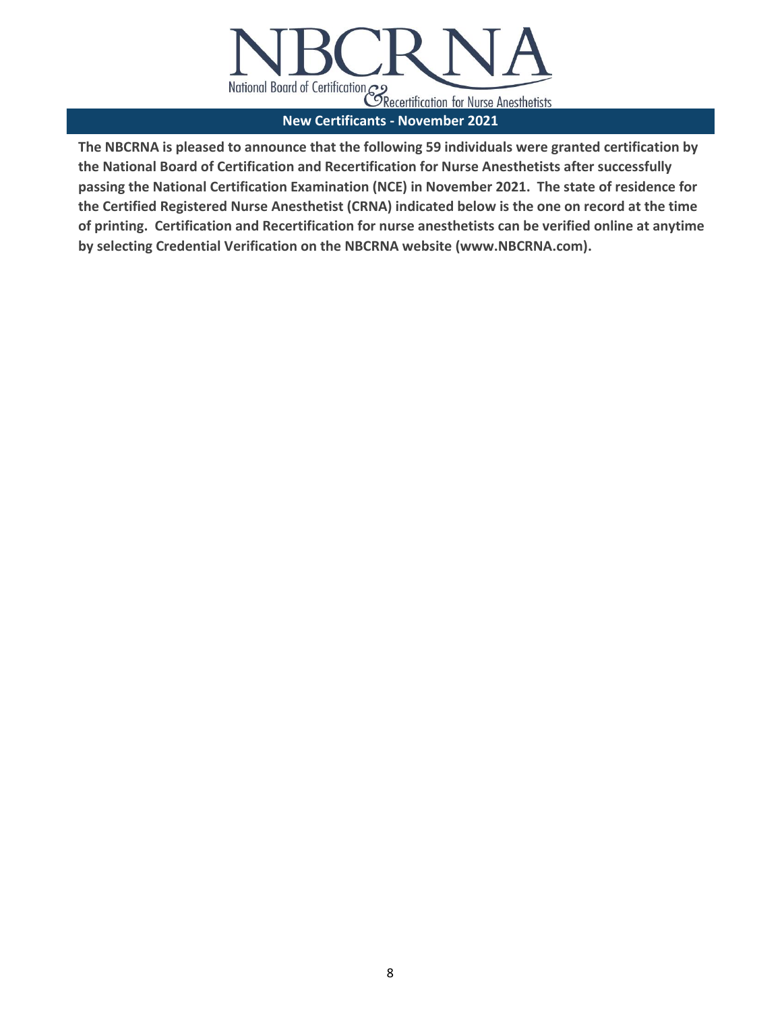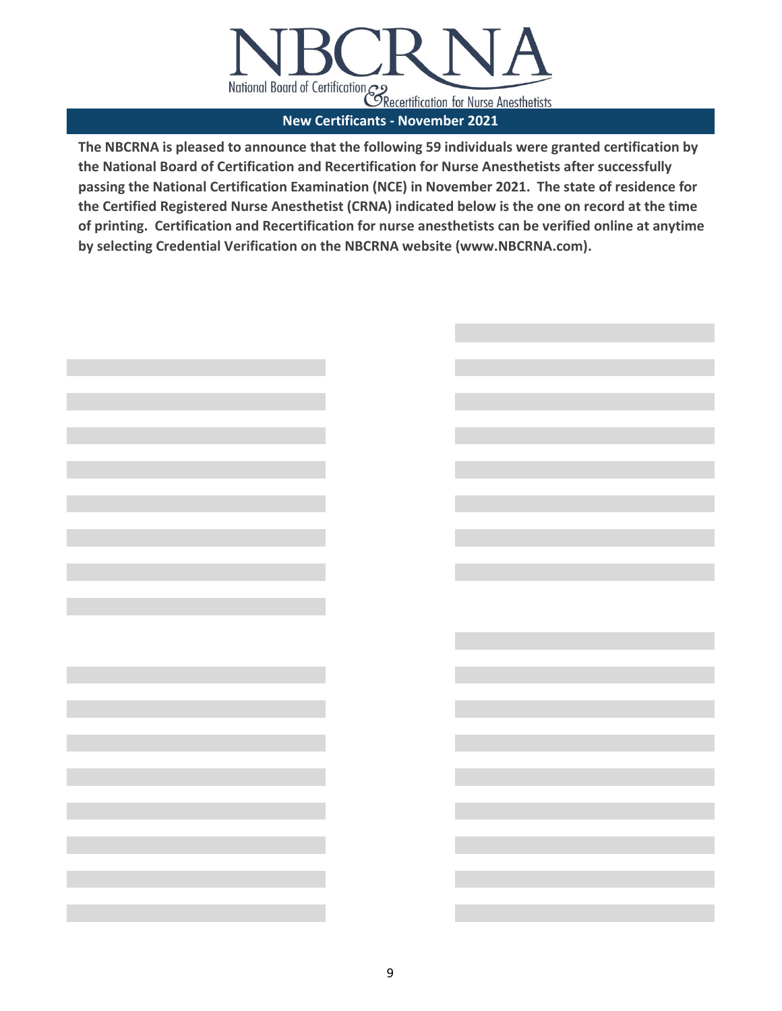

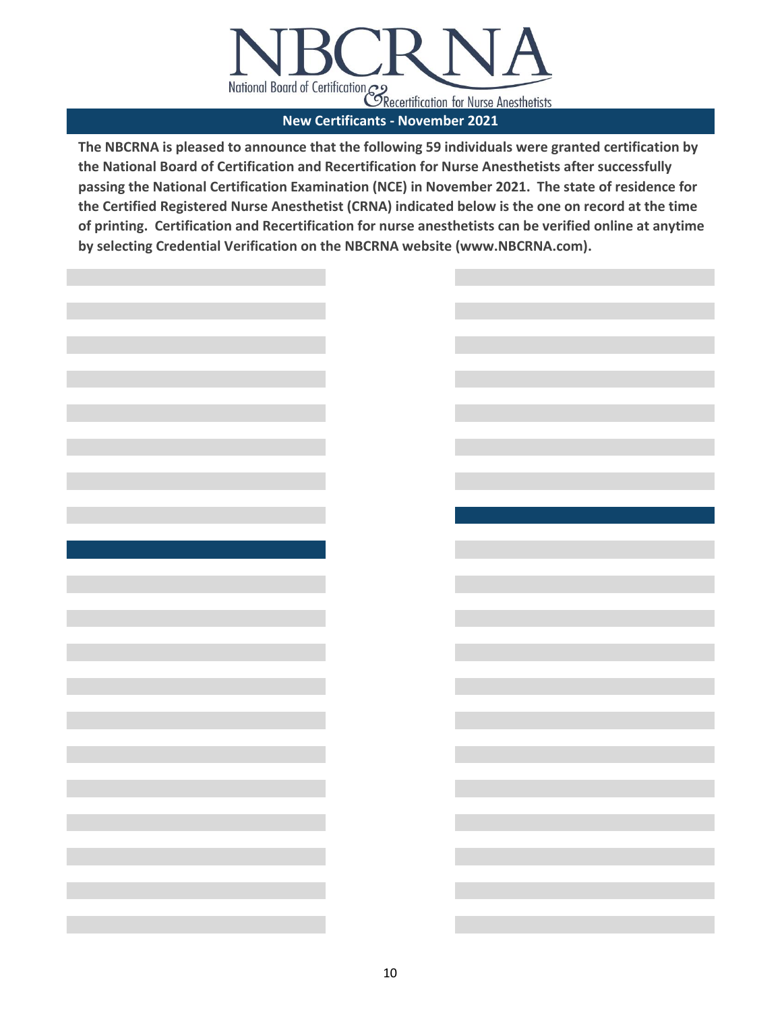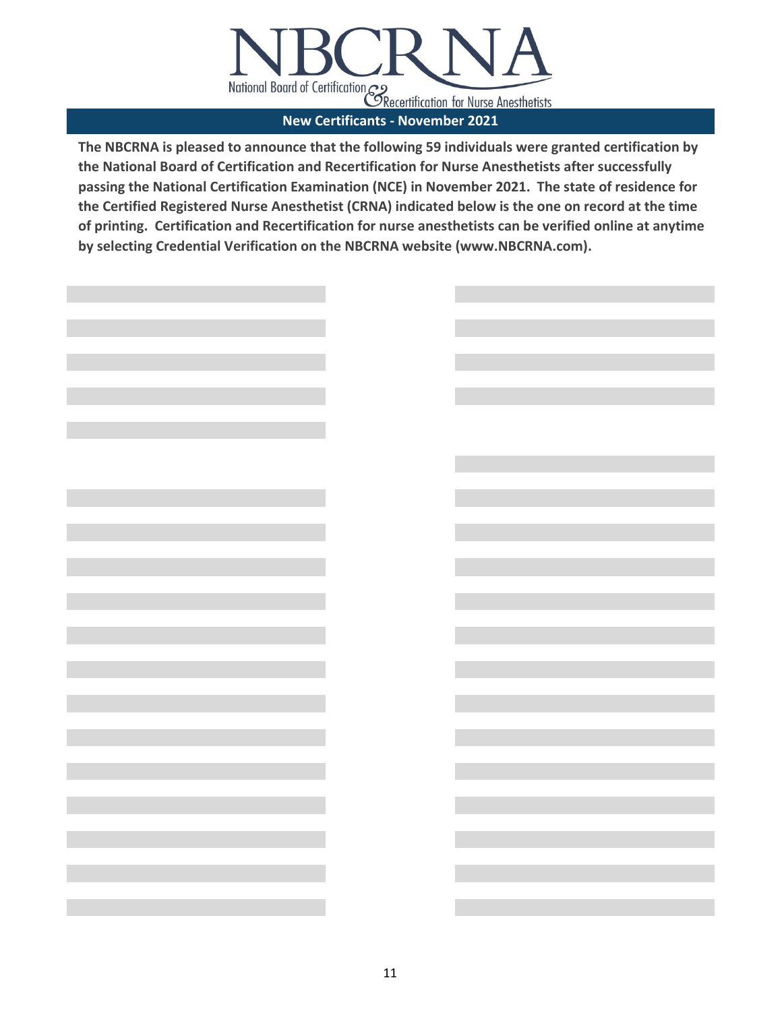

|                                                                                                                                                                                                    | <u> 1980 - Jan Barat, martin amerikan ba</u> |  |
|----------------------------------------------------------------------------------------------------------------------------------------------------------------------------------------------------|----------------------------------------------|--|
|                                                                                                                                                                                                    |                                              |  |
|                                                                                                                                                                                                    |                                              |  |
|                                                                                                                                                                                                    |                                              |  |
|                                                                                                                                                                                                    |                                              |  |
|                                                                                                                                                                                                    |                                              |  |
| $\mathcal{L}^{\mathcal{L}}(\mathcal{L}^{\mathcal{L}})$ and $\mathcal{L}^{\mathcal{L}}(\mathcal{L}^{\mathcal{L}})$ and $\mathcal{L}^{\mathcal{L}}(\mathcal{L}^{\mathcal{L}})$                       |                                              |  |
|                                                                                                                                                                                                    |                                              |  |
|                                                                                                                                                                                                    |                                              |  |
|                                                                                                                                                                                                    |                                              |  |
|                                                                                                                                                                                                    |                                              |  |
|                                                                                                                                                                                                    |                                              |  |
|                                                                                                                                                                                                    |                                              |  |
|                                                                                                                                                                                                    |                                              |  |
|                                                                                                                                                                                                    |                                              |  |
|                                                                                                                                                                                                    |                                              |  |
|                                                                                                                                                                                                    |                                              |  |
|                                                                                                                                                                                                    |                                              |  |
|                                                                                                                                                                                                    |                                              |  |
|                                                                                                                                                                                                    |                                              |  |
|                                                                                                                                                                                                    |                                              |  |
|                                                                                                                                                                                                    |                                              |  |
| and the control of the control of the                                                                                                                                                              |                                              |  |
|                                                                                                                                                                                                    |                                              |  |
|                                                                                                                                                                                                    |                                              |  |
| $\mathcal{L}(\mathcal{L}^{\mathcal{L}})$ and $\mathcal{L}^{\mathcal{L}}$ are the set of the set of the set of $\mathcal{L}^{\mathcal{L}}$                                                          |                                              |  |
|                                                                                                                                                                                                    |                                              |  |
| $\mathcal{L}^{\mathcal{L}}(\mathcal{L}^{\mathcal{L}})$ and $\mathcal{L}^{\mathcal{L}}(\mathcal{L}^{\mathcal{L}})$ and $\mathcal{L}^{\mathcal{L}}(\mathcal{L}^{\mathcal{L}})$ . In the contribution | a sa kacamatan ing Kabupatèn Kabupatèn Ing   |  |
|                                                                                                                                                                                                    |                                              |  |
|                                                                                                                                                                                                    |                                              |  |
| $\mathcal{L}(\mathcal{L})$ and $\mathcal{L}(\mathcal{L})$ are the set of the set of the set of the set of $\mathcal{L}(\mathcal{L})$                                                               |                                              |  |
|                                                                                                                                                                                                    |                                              |  |
|                                                                                                                                                                                                    |                                              |  |
| $\mathcal{L}(\mathcal{L})$ and $\mathcal{L}(\mathcal{L})$ are the set of the set of the set of the set of $\mathcal{L}(\mathcal{L})$                                                               |                                              |  |
|                                                                                                                                                                                                    |                                              |  |
|                                                                                                                                                                                                    |                                              |  |
|                                                                                                                                                                                                    |                                              |  |
|                                                                                                                                                                                                    |                                              |  |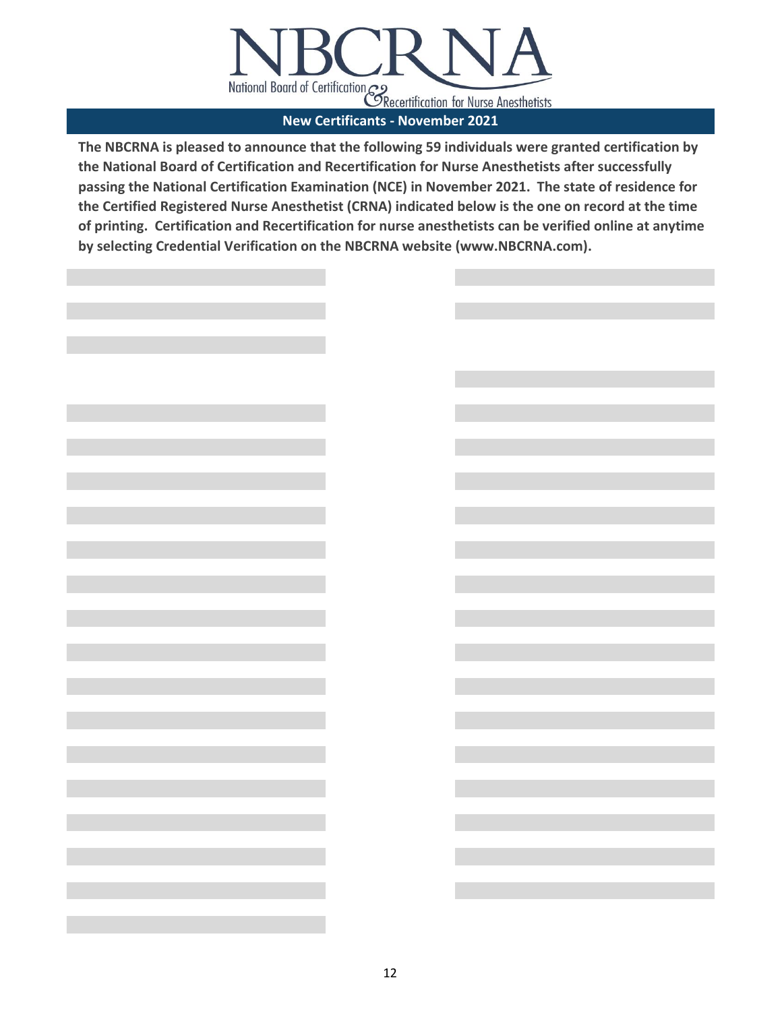

12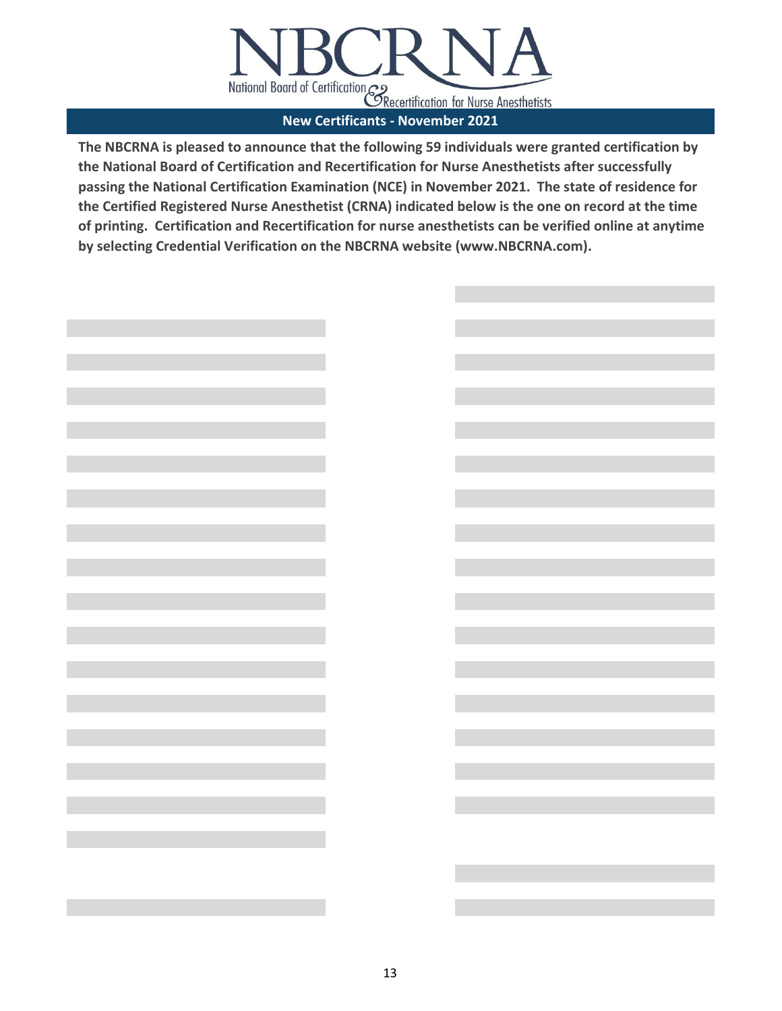

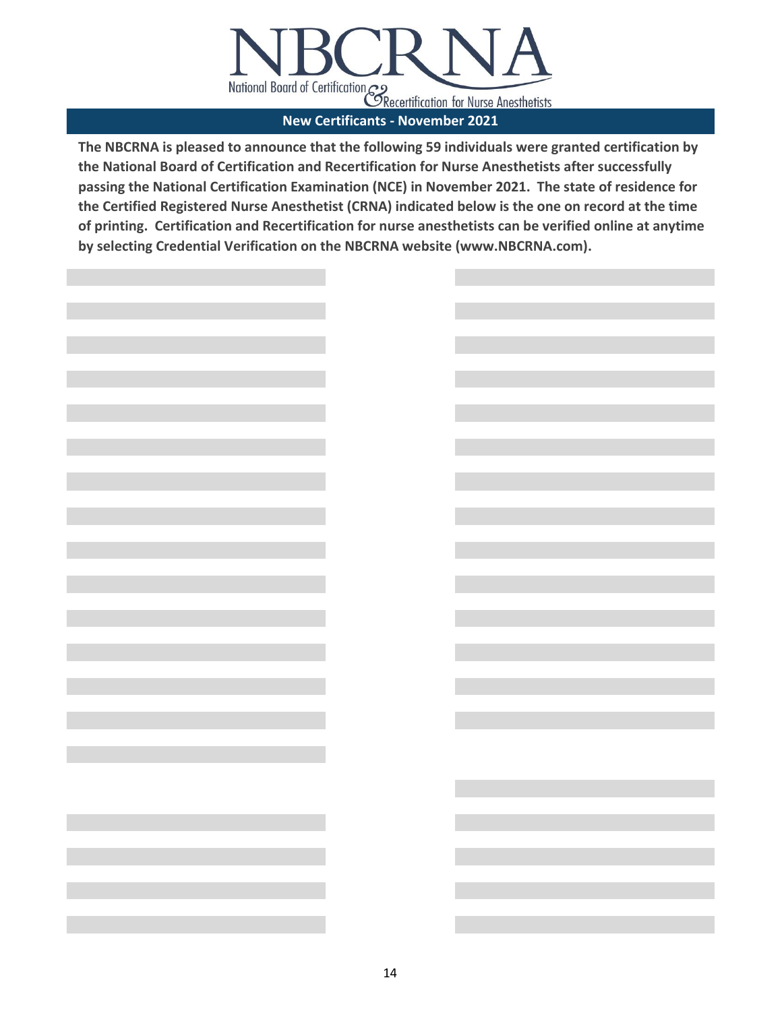

| <u> 1999 - Johann Barnett, mars et al. 1999 - Johann Barnett, mars et al. 1999 - Johann Barnett, mars et al. 199</u> |                                          |  |
|----------------------------------------------------------------------------------------------------------------------|------------------------------------------|--|
|                                                                                                                      |                                          |  |
|                                                                                                                      |                                          |  |
|                                                                                                                      |                                          |  |
| <u> 1999 - Johann Barnett, mars et al. 1999 - Johann Barnett, mars et al. 1999 - Johann Barnett, mars et al. 199</u> |                                          |  |
|                                                                                                                      |                                          |  |
| <u> 1989 - Johann Barnett, mars et al. 1989 - Johann Barnett, mars et al. 1989 - Johann Barnett, mars et al. 198</u> |                                          |  |
|                                                                                                                      |                                          |  |
|                                                                                                                      |                                          |  |
|                                                                                                                      |                                          |  |
|                                                                                                                      |                                          |  |
|                                                                                                                      |                                          |  |
|                                                                                                                      |                                          |  |
|                                                                                                                      |                                          |  |
|                                                                                                                      |                                          |  |
|                                                                                                                      |                                          |  |
|                                                                                                                      |                                          |  |
|                                                                                                                      |                                          |  |
|                                                                                                                      |                                          |  |
|                                                                                                                      |                                          |  |
|                                                                                                                      |                                          |  |
| and the state of the state of the state of                                                                           | <u> 1990 - Jan Alexandria (h. 1980).</u> |  |
|                                                                                                                      |                                          |  |
|                                                                                                                      |                                          |  |
|                                                                                                                      |                                          |  |
|                                                                                                                      |                                          |  |
|                                                                                                                      |                                          |  |
|                                                                                                                      |                                          |  |
|                                                                                                                      |                                          |  |
|                                                                                                                      |                                          |  |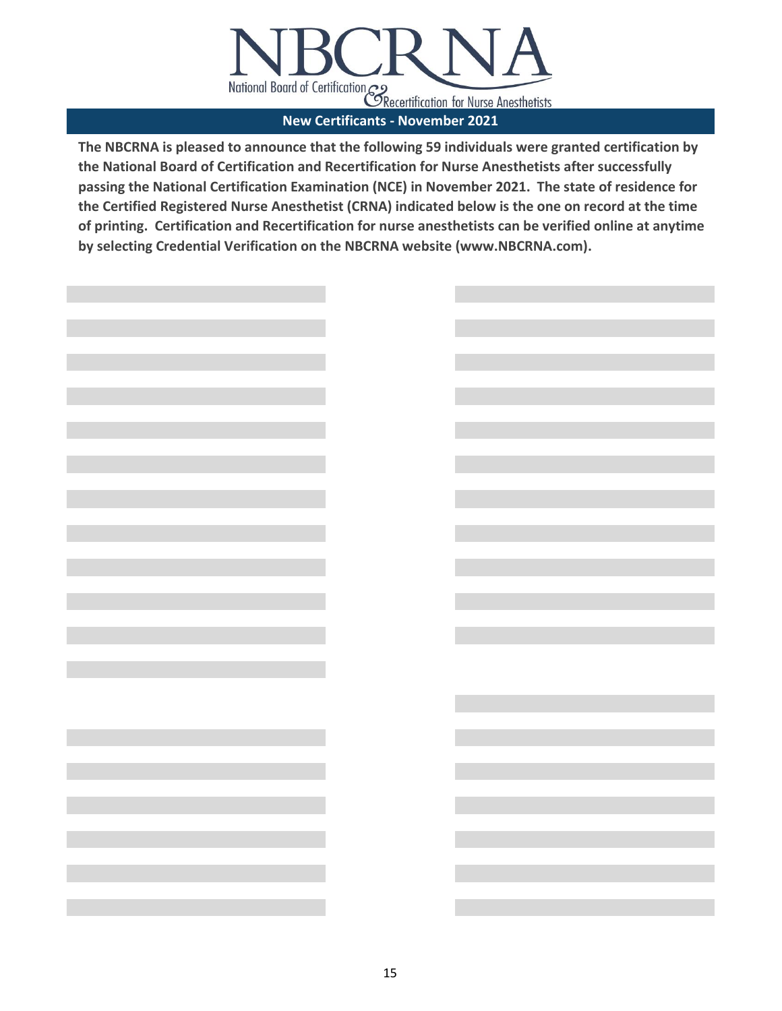

| <u> Angelin</u>                                                                                                                                                                       |                                                                                                                      |
|---------------------------------------------------------------------------------------------------------------------------------------------------------------------------------------|----------------------------------------------------------------------------------------------------------------------|
|                                                                                                                                                                                       |                                                                                                                      |
|                                                                                                                                                                                       |                                                                                                                      |
|                                                                                                                                                                                       |                                                                                                                      |
|                                                                                                                                                                                       |                                                                                                                      |
|                                                                                                                                                                                       |                                                                                                                      |
|                                                                                                                                                                                       |                                                                                                                      |
|                                                                                                                                                                                       |                                                                                                                      |
|                                                                                                                                                                                       |                                                                                                                      |
|                                                                                                                                                                                       |                                                                                                                      |
|                                                                                                                                                                                       |                                                                                                                      |
|                                                                                                                                                                                       |                                                                                                                      |
|                                                                                                                                                                                       |                                                                                                                      |
|                                                                                                                                                                                       |                                                                                                                      |
| <b>Communication</b>                                                                                                                                                                  | <b>STATE OF STATE OF STATE OF STATE OF STATE OF STATE OF STATE OF STATE OF STATE OF STATE OF STATE OF STATE OF S</b> |
|                                                                                                                                                                                       |                                                                                                                      |
|                                                                                                                                                                                       |                                                                                                                      |
|                                                                                                                                                                                       |                                                                                                                      |
|                                                                                                                                                                                       |                                                                                                                      |
|                                                                                                                                                                                       |                                                                                                                      |
|                                                                                                                                                                                       |                                                                                                                      |
|                                                                                                                                                                                       |                                                                                                                      |
|                                                                                                                                                                                       |                                                                                                                      |
|                                                                                                                                                                                       |                                                                                                                      |
|                                                                                                                                                                                       |                                                                                                                      |
|                                                                                                                                                                                       |                                                                                                                      |
|                                                                                                                                                                                       |                                                                                                                      |
|                                                                                                                                                                                       |                                                                                                                      |
|                                                                                                                                                                                       |                                                                                                                      |
|                                                                                                                                                                                       |                                                                                                                      |
|                                                                                                                                                                                       |                                                                                                                      |
|                                                                                                                                                                                       |                                                                                                                      |
|                                                                                                                                                                                       |                                                                                                                      |
|                                                                                                                                                                                       |                                                                                                                      |
|                                                                                                                                                                                       |                                                                                                                      |
|                                                                                                                                                                                       |                                                                                                                      |
|                                                                                                                                                                                       |                                                                                                                      |
|                                                                                                                                                                                       |                                                                                                                      |
|                                                                                                                                                                                       |                                                                                                                      |
|                                                                                                                                                                                       |                                                                                                                      |
|                                                                                                                                                                                       |                                                                                                                      |
|                                                                                                                                                                                       |                                                                                                                      |
| <u> 1980 - Johann Barbara, martxa a</u>                                                                                                                                               |                                                                                                                      |
|                                                                                                                                                                                       |                                                                                                                      |
| $\mathcal{L}(\mathcal{L}(\mathcal{L}))$ and $\mathcal{L}(\mathcal{L}(\mathcal{L}))$ and $\mathcal{L}(\mathcal{L}(\mathcal{L}))$ . Then the contribution of $\mathcal{L}(\mathcal{L})$ |                                                                                                                      |
|                                                                                                                                                                                       |                                                                                                                      |
|                                                                                                                                                                                       |                                                                                                                      |
|                                                                                                                                                                                       |                                                                                                                      |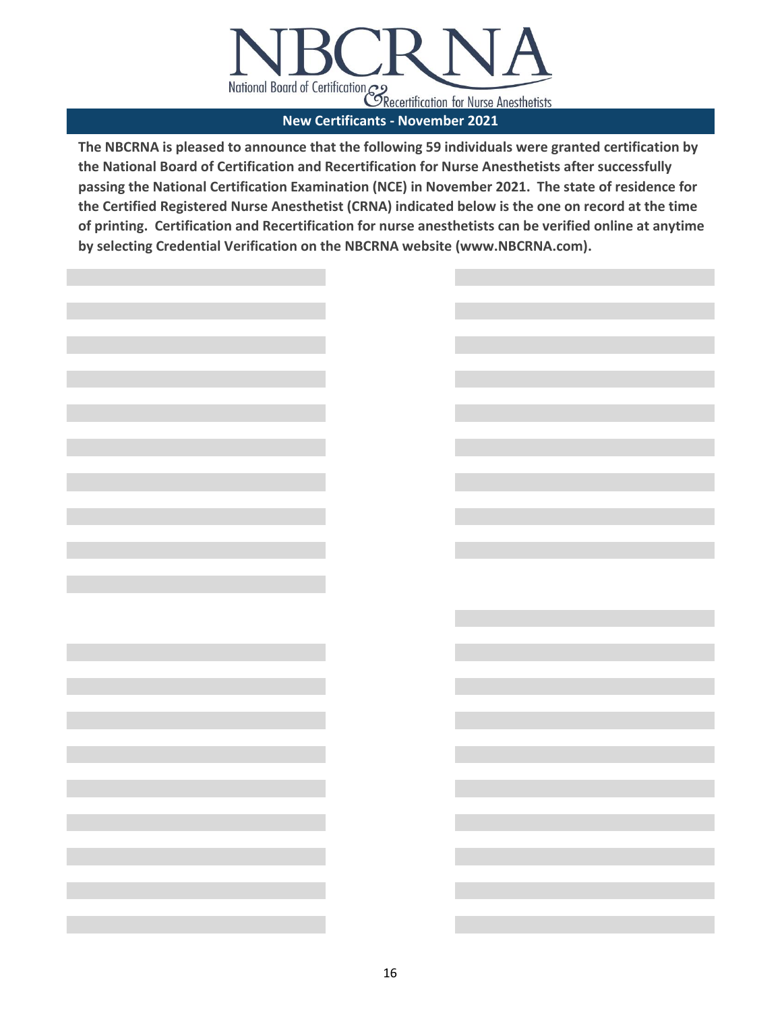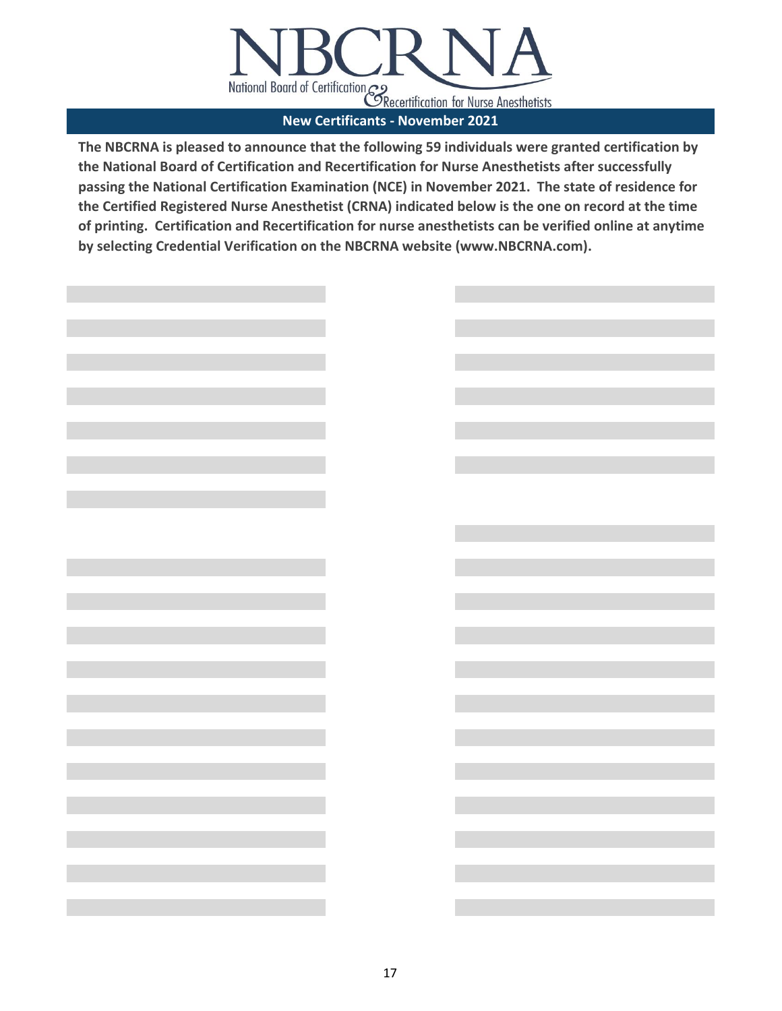

| <u> 1999 - Jan James Barnett, politik e</u>      |                                                                                                                                                                                                                                                 |
|--------------------------------------------------|-------------------------------------------------------------------------------------------------------------------------------------------------------------------------------------------------------------------------------------------------|
|                                                  |                                                                                                                                                                                                                                                 |
| <u> Tanzania (</u>                               |                                                                                                                                                                                                                                                 |
|                                                  |                                                                                                                                                                                                                                                 |
|                                                  |                                                                                                                                                                                                                                                 |
|                                                  |                                                                                                                                                                                                                                                 |
|                                                  |                                                                                                                                                                                                                                                 |
| and the company of the company of the            | a sa kacamatan ing Kabupatèn Kabupatèn Ing Kabupatèn Kabupatèn Kabupatèn Kabupatèn Kabupatèn Kabupatèn Kabupat                                                                                                                                  |
|                                                  |                                                                                                                                                                                                                                                 |
|                                                  |                                                                                                                                                                                                                                                 |
| and the control of the control of the control of |                                                                                                                                                                                                                                                 |
|                                                  |                                                                                                                                                                                                                                                 |
|                                                  | and the control of the control of the control of                                                                                                                                                                                                |
|                                                  |                                                                                                                                                                                                                                                 |
|                                                  |                                                                                                                                                                                                                                                 |
| and the company of the company of the            | <u> 1989 - Johann Barnett, fransk politiker (</u>                                                                                                                                                                                               |
|                                                  |                                                                                                                                                                                                                                                 |
| <u> 1999 - Johann Stein, marwolaethau a bh</u>   | and the state of the state of the state of the state of the                                                                                                                                                                                     |
|                                                  |                                                                                                                                                                                                                                                 |
|                                                  |                                                                                                                                                                                                                                                 |
| and the company of the company of the            | and the control of the control of the control of                                                                                                                                                                                                |
|                                                  |                                                                                                                                                                                                                                                 |
| and the control of the control of the control of | and the control of the control of the control of                                                                                                                                                                                                |
|                                                  |                                                                                                                                                                                                                                                 |
|                                                  |                                                                                                                                                                                                                                                 |
| and the control of the control of the control of | and the state of the state of the state of the state of                                                                                                                                                                                         |
|                                                  |                                                                                                                                                                                                                                                 |
| and the control of the control of the control of | and the state of the state of the state of the state of                                                                                                                                                                                         |
|                                                  |                                                                                                                                                                                                                                                 |
|                                                  |                                                                                                                                                                                                                                                 |
| <b>Contract Contract Contract Contract</b>       | and the state of the state of the state of the state of                                                                                                                                                                                         |
|                                                  |                                                                                                                                                                                                                                                 |
| <b>Contract Contract Contract Contract</b>       | and the state of the state of the state of the state of                                                                                                                                                                                         |
|                                                  |                                                                                                                                                                                                                                                 |
|                                                  |                                                                                                                                                                                                                                                 |
| the control of the control of the control of     | and the control of the control of the control of                                                                                                                                                                                                |
|                                                  |                                                                                                                                                                                                                                                 |
| the control of the control of the control of     | $\mathcal{L}(\mathcal{L}^{\mathcal{L}})$ and the set of the set of the set of the set of the set of the set of the set of the set of the set of the set of the set of the set of the set of the set of the set of the set of the set of the set |
|                                                  |                                                                                                                                                                                                                                                 |
|                                                  |                                                                                                                                                                                                                                                 |
| and the state of the state of the state of       | $\mathcal{L}(\mathcal{L}^{\mathcal{L}})$ and the contract of the contract of the contract of the contract of the contract of the contract of the contract of the contract of the contract of the contract of the contract of the contract of th |
|                                                  |                                                                                                                                                                                                                                                 |
|                                                  |                                                                                                                                                                                                                                                 |